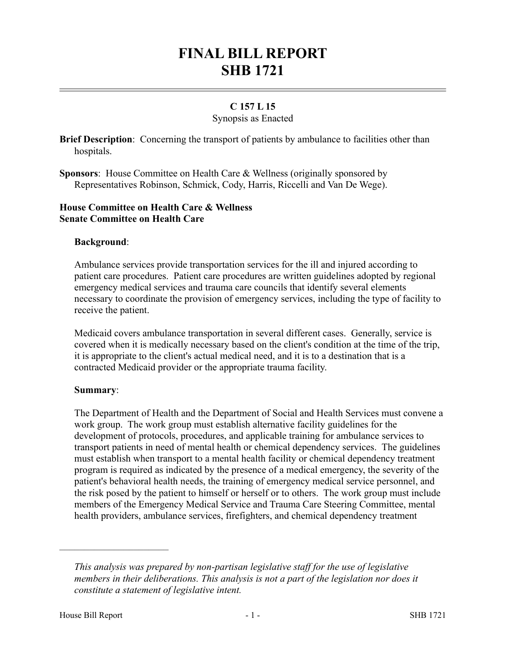# **FINAL BILL REPORT SHB 1721**

# **C 157 L 15**

#### Synopsis as Enacted

**Brief Description**: Concerning the transport of patients by ambulance to facilities other than hospitals.

**Sponsors**: House Committee on Health Care & Wellness (originally sponsored by Representatives Robinson, Schmick, Cody, Harris, Riccelli and Van De Wege).

#### **House Committee on Health Care & Wellness Senate Committee on Health Care**

## **Background**:

Ambulance services provide transportation services for the ill and injured according to patient care procedures. Patient care procedures are written guidelines adopted by regional emergency medical services and trauma care councils that identify several elements necessary to coordinate the provision of emergency services, including the type of facility to receive the patient.

Medicaid covers ambulance transportation in several different cases. Generally, service is covered when it is medically necessary based on the client's condition at the time of the trip, it is appropriate to the client's actual medical need, and it is to a destination that is a contracted Medicaid provider or the appropriate trauma facility.

#### **Summary**:

The Department of Health and the Department of Social and Health Services must convene a work group. The work group must establish alternative facility guidelines for the development of protocols, procedures, and applicable training for ambulance services to transport patients in need of mental health or chemical dependency services. The guidelines must establish when transport to a mental health facility or chemical dependency treatment program is required as indicated by the presence of a medical emergency, the severity of the patient's behavioral health needs, the training of emergency medical service personnel, and the risk posed by the patient to himself or herself or to others. The work group must include members of the Emergency Medical Service and Trauma Care Steering Committee, mental health providers, ambulance services, firefighters, and chemical dependency treatment

––––––––––––––––––––––

*This analysis was prepared by non-partisan legislative staff for the use of legislative members in their deliberations. This analysis is not a part of the legislation nor does it constitute a statement of legislative intent.*